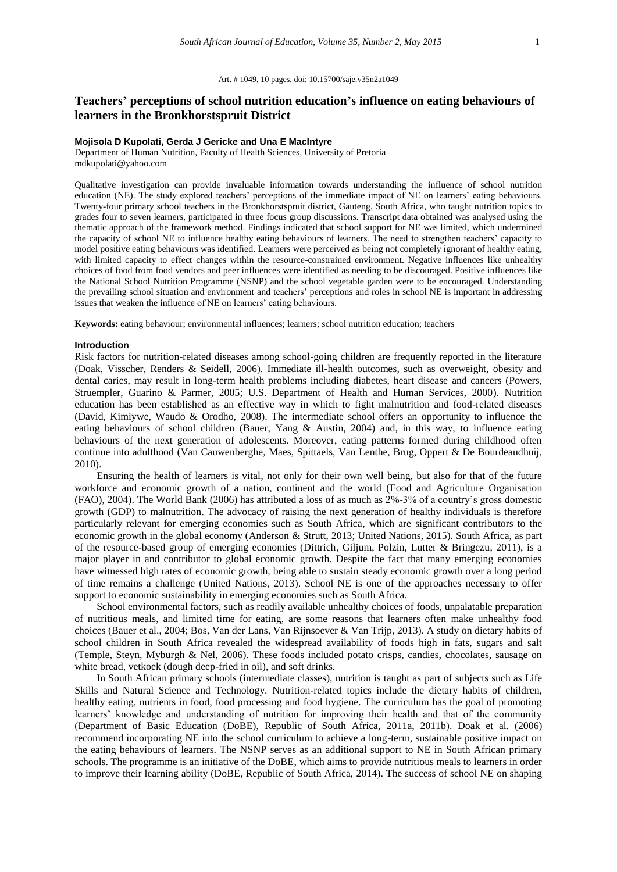#### Art. # 1049, 10 pages, doi: 10.15700/saje.v35n2a1049

# **Teachers' perceptions of school nutrition education's influence on eating behaviours of learners in the Bronkhorstspruit District**

# **Mojisola D Kupolati, Gerda J Gericke and Una E MacIntyre**

Department of Human Nutrition, Faculty of Health Sciences, University of Pretoria mdkupolati@yahoo.com

Qualitative investigation can provide invaluable information towards understanding the influence of school nutrition education (NE). The study explored teachers" perceptions of the immediate impact of NE on learners" eating behaviours. Twenty-four primary school teachers in the Bronkhorstspruit district, Gauteng, South Africa, who taught nutrition topics to grades four to seven learners, participated in three focus group discussions. Transcript data obtained was analysed using the thematic approach of the framework method. Findings indicated that school support for NE was limited, which undermined the capacity of school NE to influence healthy eating behaviours of learners. The need to strengthen teachers" capacity to model positive eating behaviours was identified. Learners were perceived as being not completely ignorant of healthy eating, with limited capacity to effect changes within the resource-constrained environment. Negative influences like unhealthy choices of food from food vendors and peer influences were identified as needing to be discouraged. Positive influences like the National School Nutrition Programme (NSNP) and the school vegetable garden were to be encouraged. Understanding the prevailing school situation and environment and teachers" perceptions and roles in school NE is important in addressing issues that weaken the influence of NE on learners' eating behaviours.

**Keywords:** eating behaviour; environmental influences; learners; school nutrition education; teachers

### **Introduction**

Risk factors for nutrition-related diseases among school-going children are frequently reported in the literature (Doak, Visscher, Renders & Seidell, 2006). Immediate ill-health outcomes, such as overweight, obesity and dental caries, may result in long-term health problems including diabetes, heart disease and cancers (Powers, Struempler, Guarino & Parmer, 2005; U.S. Department of Health and Human Services, 2000). Nutrition education has been established as an effective way in which to fight malnutrition and food-related diseases (David, Kimiywe, Waudo & Orodho, 2008). The intermediate school offers an opportunity to influence the eating behaviours of school children (Bauer, Yang & Austin, 2004) and, in this way, to influence eating behaviours of the next generation of adolescents. Moreover, eating patterns formed during childhood often continue into adulthood (Van Cauwenberghe, Maes, Spittaels, Van Lenthe, Brug, Oppert & De Bourdeaudhuij, 2010).

Ensuring the health of learners is vital, not only for their own well being, but also for that of the future workforce and economic growth of a nation, continent and the world (Food and Agriculture Organisation (FAO), 2004). The World Bank (2006) has attributed a loss of as much as 2%-3% of a country"s gross domestic growth (GDP) to malnutrition. The advocacy of raising the next generation of healthy individuals is therefore particularly relevant for emerging economies such as South Africa, which are significant contributors to the economic growth in the global economy (Anderson & Strutt, 2013; United Nations, 2015). South Africa, as part of the resource-based group of emerging economies (Dittrich, Giljum, Polzin, Lutter & Bringezu, 2011), is a major player in and contributor to global economic growth. Despite the fact that many emerging economies have witnessed high rates of economic growth, being able to sustain steady economic growth over a long period of time remains a challenge (United Nations, 2013). School NE is one of the approaches necessary to offer support to economic sustainability in emerging economies such as South Africa.

School environmental factors, such as readily available unhealthy choices of foods, unpalatable preparation of nutritious meals, and limited time for eating, are some reasons that learners often make unhealthy food choices (Bauer et al., 2004; Bos, Van der Lans, Van Rijnsoever & Van Trijp, 2013). A study on dietary habits of school children in South Africa revealed the widespread availability of foods high in fats, sugars and salt (Temple, Steyn, Myburgh & Nel, 2006). These foods included potato crisps, candies, chocolates, sausage on white bread, vetkoek (dough deep-fried in oil), and soft drinks.

In South African primary schools (intermediate classes), nutrition is taught as part of subjects such as Life Skills and Natural Science and Technology. Nutrition-related topics include the dietary habits of children, healthy eating, nutrients in food, food processing and food hygiene. The curriculum has the goal of promoting learners" knowledge and understanding of nutrition for improving their health and that of the community (Department of Basic Education (DoBE), Republic of South Africa, 2011a, 2011b). Doak et al. (2006) recommend incorporating NE into the school curriculum to achieve a long-term, sustainable positive impact on the eating behaviours of learners. The NSNP serves as an additional support to NE in South African primary schools. The programme is an initiative of the DoBE, which aims to provide nutritious meals to learners in order to improve their learning ability [\(DoBE, Republic of South Africa, 2014\)](#page-7-0). The success of school NE on shaping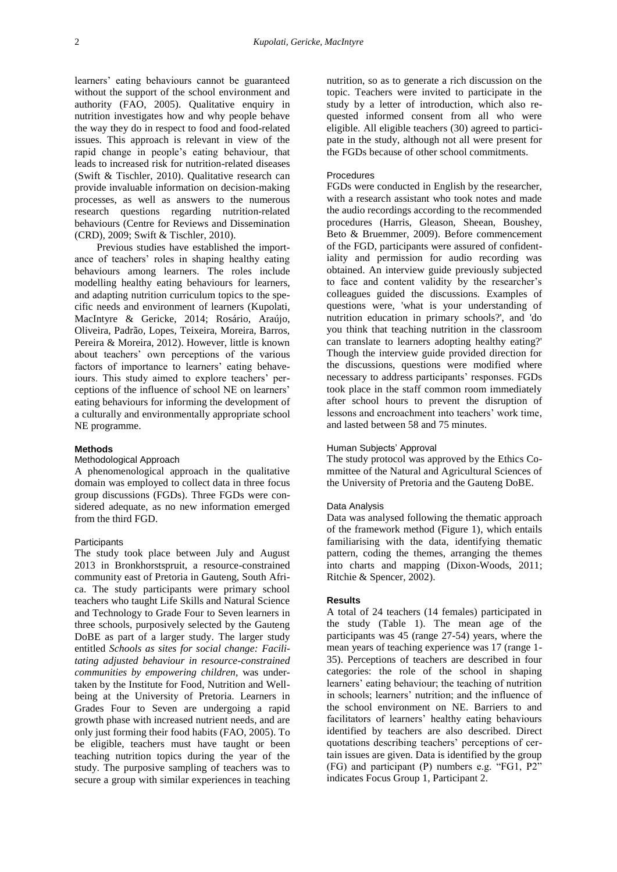learners" eating behaviours cannot be guaranteed without the support of the school environment and authority (FAO, 2005). Qualitative enquiry in nutrition investigates how and why people behave the way they do in respect to food and food-related issues. This approach is relevant in view of the rapid change in people"s eating behaviour, that leads to increased risk for nutrition-related diseases (Swift & Tischler, 2010). Qualitative research can provide invaluable information on decision-making processes, as well as answers to the numerous research questions regarding nutrition-related behaviours (Centre for Reviews and Dissemination (CRD), 2009; Swift & Tischler, 2010).

Previous studies have established the importance of teachers' roles in shaping healthy eating behaviours among learners. The roles include modelling healthy eating behaviours for learners, and adapting nutrition curriculum topics to the specific needs and environment of learners (Kupolati, MacIntyre & Gericke, 2014; Rosário, Araújo, Oliveira, Padrão, Lopes, Teixeira, Moreira, Barros, Pereira & Moreira, 2012). However, little is known about teachers" own perceptions of the various factors of importance to learners' eating behaveiours. This study aimed to explore teachers' perceptions of the influence of school NE on learners" eating behaviours for informing the development of a culturally and environmentally appropriate school NE programme.

#### **Methods**

## Methodological Approach

A phenomenological approach in the qualitative domain was employed to collect data in three focus group discussions (FGDs). Three FGDs were considered adequate, as no new information emerged from the third FGD.

#### **Participants**

The study took place between July and August 2013 in Bronkhorstspruit, a resource-constrained community east of Pretoria in Gauteng, South Africa. The study participants were primary school teachers who taught Life Skills and Natural Science and Technology to Grade Four to Seven learners in three schools, purposively selected by the Gauteng DoBE as part of a larger study. The larger study entitled *Schools as sites for social change: Facilitating adjusted behaviour in resource-constrained communities by empowering children,* was undertaken by the Institute for Food, Nutrition and Wellbeing at the University of Pretoria. Learners in Grades Four to Seven are undergoing a rapid growth phase with increased nutrient needs, and are only just forming their food habits (FAO, 2005). To be eligible, teachers must have taught or been teaching nutrition topics during the year of the study. The purposive sampling of teachers was to secure a group with similar experiences in teaching

nutrition, so as to generate a rich discussion on the topic. Teachers were invited to participate in the study by a letter of introduction, which also requested informed consent from all who were eligible. All eligible teachers (30) agreed to participate in the study, although not all were present for the FGDs because of other school commitments.

#### **Procedures**

FGDs were conducted in English by the researcher, with a research assistant who took notes and made the audio recordings according to the recommended procedures (Harris, Gleason, Sheean, Boushey, Beto & Bruemmer, 2009). Before commencement of the FGD, participants were assured of confidentiality and permission for audio recording was obtained. An interview guide previously subjected to face and content validity by the researcher"s colleagues guided the discussions. Examples of questions were, 'what is your understanding of nutrition education in primary schools?', and 'do you think that teaching nutrition in the classroom can translate to learners adopting healthy eating?' Though the interview guide provided direction for the discussions, questions were modified where necessary to address participants' responses. FGDs took place in the staff common room immediately after school hours to prevent the disruption of lessons and encroachment into teachers' work time, and lasted between 58 and 75 minutes.

## Human Subjects' Approval

The study protocol was approved by the Ethics Committee of the Natural and Agricultural Sciences of the University of Pretoria and the Gauteng DoBE.

#### Data Analysis

Data was analysed following the thematic approach of the framework method (Figure 1), which entails familiarising with the data, identifying thematic pattern, coding the themes, arranging the themes into charts and mapping (Dixon-Woods, 2011; Ritchie & Spencer, 2002).

#### **Results**

A total of 24 teachers (14 females) participated in the study (Table 1). The mean age of the participants was 45 (range 27-54) years, where the mean years of teaching experience was 17 (range 1- 35). Perceptions of teachers are described in four categories: the role of the school in shaping learners' eating behaviour; the teaching of nutrition in schools; learners' nutrition; and the influence of the school environment on NE. Barriers to and facilitators of learners' healthy eating behaviours identified by teachers are also described. Direct quotations describing teachers" perceptions of certain issues are given. Data is identified by the group (FG) and participant (P) numbers e.g. "FG1, P2" indicates Focus Group 1, Participant 2.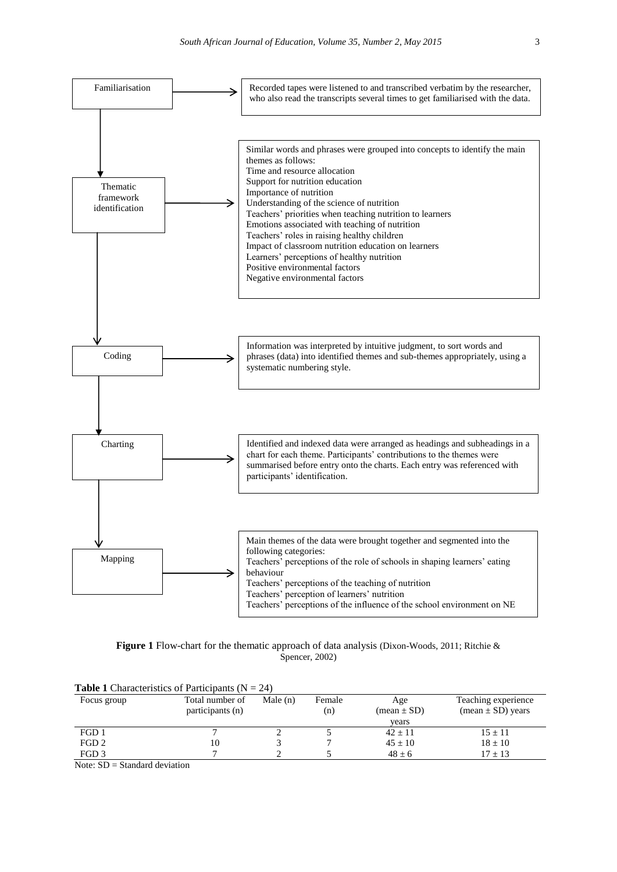

**Figure 1** Flow-chart for the thematic approach of data analysis (Dixon-Woods, 2011; Ritchie & Spencer, 2002)

| Focus group      | Total number of<br>participants (n) | Male $(n)$ | Female<br>(n) | Age<br>$mean \pm SD$ | Teaching experience<br>$mean \pm SD$ ) years |
|------------------|-------------------------------------|------------|---------------|----------------------|----------------------------------------------|
|                  |                                     |            |               | years                |                                              |
| FGD 1            |                                     |            |               | $42 \pm 11$          | $15 \pm 11$                                  |
| FGD <sub>2</sub> | 10                                  |            | $\mathbf{r}$  | $45 \pm 10$          | $18 \pm 10$                                  |
| FGD 3            |                                     |            |               | $48 \pm 6$           | $17 \pm 13$                                  |

**Table 1** Characteristics of Participants  $(N - 24)$ 

Note:  $SD = Standard deviation$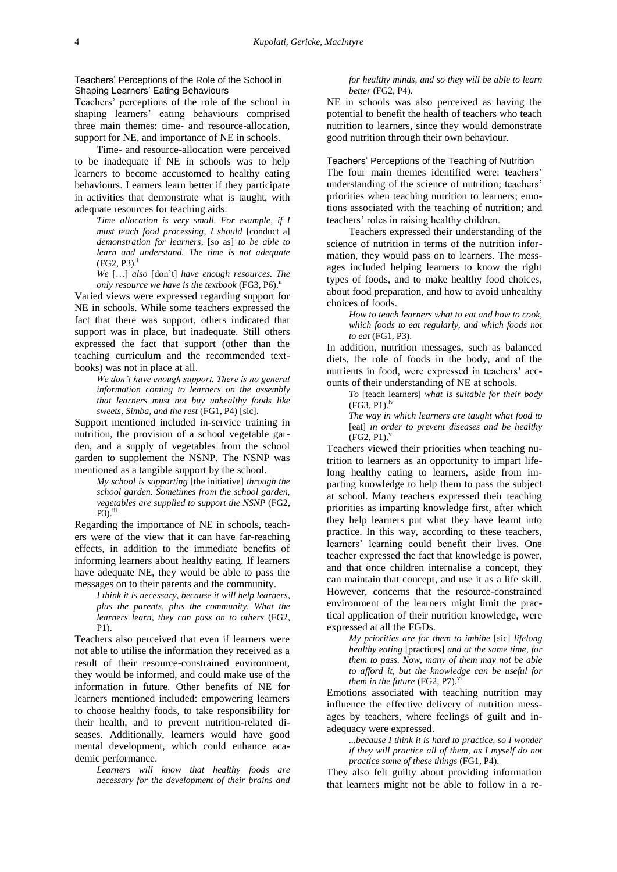Teachers' Perceptions of the Role of the School in Shaping Learners' Eating Behaviours

Teachers" perceptions of the role of the school in shaping learners" eating behaviours comprised three main themes: time- and resource-allocation, support for NE, and importance of NE in schools.

Time- and resource-allocation were perceived to be inadequate if NE in schools was to help learners to become accustomed to healthy eating behaviours. Learners learn better if they participate in activities that demonstrate what is taught, with adequate resources for teaching aids.

*Time allocation is very small. For example, if I must teach food processing, I should* [conduct a] *demonstration for learners,* [so as] *to be able to learn and understand. The time is not adequate*  $(FG2, P3).<sup>1</sup>$ 

*We* […] *also* [don"t] *have enough resources. The only resource we have is the textbook* ( $FG3, P6$ ).<sup>11</sup>

Varied views were expressed regarding support for NE in schools. While some teachers expressed the fact that there was support, others indicated that support was in place, but inadequate. Still others expressed the fact that support (other than the teaching curriculum and the recommended textbooks) was not in place at all.

*We don't have enough support. There is no general information coming to learners on the assembly that learners must not buy unhealthy foods like sweets, Simba, and the rest* (FG1, P4) [sic].

Support mentioned included in-service training in nutrition, the provision of a school vegetable garden, and a supply of vegetables from the school garden to supplement the NSNP. The NSNP was mentioned as a tangible support by the school.

*My school is supporting* [the initiative] *through the school garden. Sometimes from the school garden, vegetables are supplied to support the NSNP* (FG2,  $P3$ ).<sup>iii</sup>

Regarding the importance of NE in schools, teachers were of the view that it can have far-reaching effects, in addition to the immediate benefits of informing learners about healthy eating. If learners have adequate NE, they would be able to pass the messages on to their parents and the community.

> *I think it is necessary, because it will help learners, plus the parents, plus the community. What the learners learn, they can pass on to others* (FG2, P1).

Teachers also perceived that even if learners were not able to utilise the information they received as a result of their resource-constrained environment, they would be informed, and could make use of the information in future. Other benefits of NE for learners mentioned included: empowering learners to choose healthy foods, to take responsibility for their health, and to prevent nutrition-related diseases. Additionally, learners would have good mental development, which could enhance academic performance.

*Learners will know that healthy foods are necessary for the development of their brains and*  *for healthy minds, and so they will be able to learn better* (FG2, P4).

NE in schools was also perceived as having the potential to benefit the health of teachers who teach nutrition to learners, since they would demonstrate good nutrition through their own behaviour.

Teachers' Perceptions of the Teaching of Nutrition The four main themes identified were: teachers' understanding of the science of nutrition; teachers' priorities when teaching nutrition to learners; emotions associated with the teaching of nutrition; and teachers' roles in raising healthy children.

Teachers expressed their understanding of the science of nutrition in terms of the nutrition information, they would pass on to learners. The messages included helping learners to know the right types of foods, and to make healthy food choices, about food preparation, and how to avoid unhealthy choices of foods.

*How to teach learners what to eat and how to cook, which foods to eat regularly, and which foods not to eat* (FG1, P3).

In addition, nutrition messages, such as balanced diets, the role of foods in the body, and of the nutrients in food, were expressed in teachers' accounts of their understanding of NE at schools.

*To* [teach learners] *what is suitable for their body*  (FG3, P1).iv

*The way in which learners are taught what food to*  [eat] *in order to prevent diseases and be healthy*  $(FG2, P1).$ <sup>v</sup>

Teachers viewed their priorities when teaching nutrition to learners as an opportunity to impart lifelong healthy eating to learners, aside from imparting knowledge to help them to pass the subject at school. Many teachers expressed their teaching priorities as imparting knowledge first, after which they help learners put what they have learnt into practice. In this way, according to these teachers, learners" learning could benefit their lives. One teacher expressed the fact that knowledge is power, and that once children internalise a concept, they can maintain that concept, and use it as a life skill. However, concerns that the resource-constrained environment of the learners might limit the practical application of their nutrition knowledge, were expressed at all the FGDs.

*My priorities are for them to imbibe* [sic] *lifelong healthy eating* [practices] *and at the same time, for them to pass. Now, many of them may not be able to afford it, but the knowledge can be useful for them in the future* (FG2, P7).

Emotions associated with teaching nutrition may influence the effective delivery of nutrition messages by teachers, where feelings of guilt and inadequacy were expressed.

*...because I think it is hard to practice, so I wonder if they will practice all of them, as I myself do not practice some of these things* (FG1, P4).

They also felt guilty about providing information that learners might not be able to follow in a re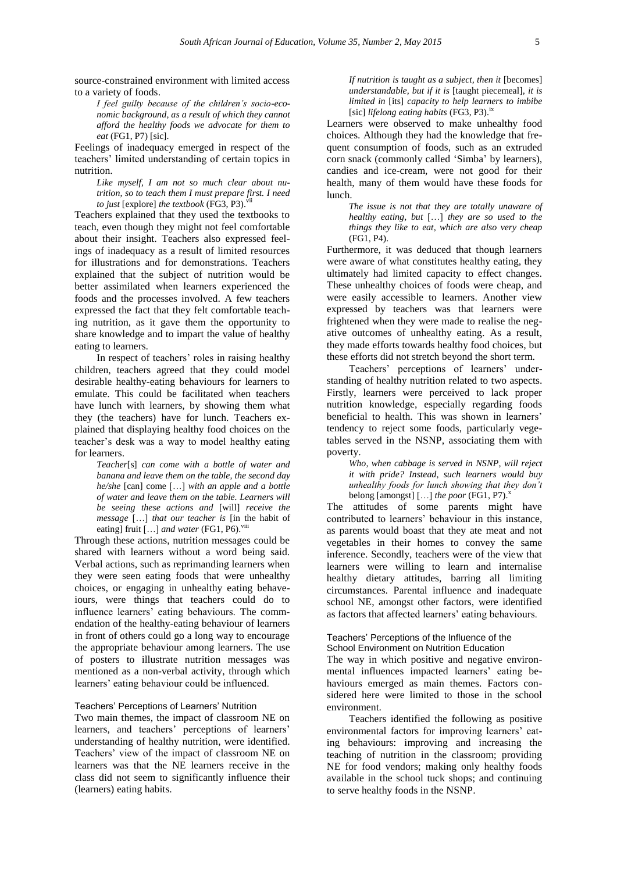source-constrained environment with limited access to a variety of foods.

> *I feel guilty because of the children's socio-economic background, as a result of which they cannot afford the healthy foods we advocate for them to eat* (FG1, P7) [sic].

Feelings of inadequacy emerged in respect of the teachers" limited understanding of certain topics in nutrition.

> *Like myself, I am not so much clear about nutrition, so to teach them I must prepare first. I need to just* [explore] *the textbook* (FG3, P3).

Teachers explained that they used the textbooks to teach, even though they might not feel comfortable about their insight. Teachers also expressed feelings of inadequacy as a result of limited resources for illustrations and for demonstrations. Teachers explained that the subject of nutrition would be better assimilated when learners experienced the foods and the processes involved. A few teachers expressed the fact that they felt comfortable teaching nutrition, as it gave them the opportunity to share knowledge and to impart the value of healthy eating to learners.

In respect of teachers' roles in raising healthy children, teachers agreed that they could model desirable healthy-eating behaviours for learners to emulate. This could be facilitated when teachers have lunch with learners, by showing them what they (the teachers) have for lunch. Teachers explained that displaying healthy food choices on the teacher"s desk was a way to model healthy eating for learners.

*Teacher*[s] *can come with a bottle of water and banana and leave them on the table, the second day he/she* [can] come […] *with an apple and a bottle of water and leave them on the table. Learners will be seeing these actions and* [will] *receive the message* […] *that our teacher is* [in the habit of eating] fruit  $[\,\ldots]$  *and water* (FG1, P6).<sup>viii</sup>

Through these actions, nutrition messages could be shared with learners without a word being said. Verbal actions, such as reprimanding learners when they were seen eating foods that were unhealthy choices, or engaging in unhealthy eating behaveiours, were things that teachers could do to influence learners' eating behaviours. The commendation of the healthy-eating behaviour of learners in front of others could go a long way to encourage the appropriate behaviour among learners. The use of posters to illustrate nutrition messages was mentioned as a non-verbal activity, through which learners' eating behaviour could be influenced.

#### Teachers' Perceptions of Learners' Nutrition

Two main themes, the impact of classroom NE on learners, and teachers' perceptions of learners' understanding of healthy nutrition, were identified. Teachers" view of the impact of classroom NE on learners was that the NE learners receive in the class did not seem to significantly influence their (learners) eating habits.

*If nutrition is taught as a subject, then it* [becomes] *understandable, but if it is* [taught piecemeal]*, it is limited in* [its] *capacity to help learners to imbibe*  [sic] *lifelong eating habits* (FG3, P3).<sup>ix</sup>

Learners were observed to make unhealthy food choices. Although they had the knowledge that frequent consumption of foods, such as an extruded corn snack (commonly called "Simba" by learners), candies and ice-cream, were not good for their health, many of them would have these foods for lunch.

> *The issue is not that they are totally unaware of healthy eating, but* […] *they are so used to the things they like to eat, which are also very cheap* (FG1, P4).

Furthermore, it was deduced that though learners were aware of what constitutes healthy eating, they ultimately had limited capacity to effect changes. These unhealthy choices of foods were cheap, and were easily accessible to learners. Another view expressed by teachers was that learners were frightened when they were made to realise the negative outcomes of unhealthy eating. As a result, they made efforts towards healthy food choices, but these efforts did not stretch beyond the short term.

Teachers" perceptions of learners" understanding of healthy nutrition related to two aspects. Firstly, learners were perceived to lack proper nutrition knowledge, especially regarding foods beneficial to health. This was shown in learners' tendency to reject some foods, particularly vegetables served in the NSNP, associating them with poverty.

*Who, when cabbage is served in NSNP, will reject it with pride? Instead, such learners would buy unhealthy foods for lunch showing that they don't*  belong [amongst] [...] *the poor* (FG1, P7).<sup>x</sup>

The attitudes of some parents might have contributed to learners" behaviour in this instance, as parents would boast that they ate meat and not vegetables in their homes to convey the same inference. Secondly, teachers were of the view that learners were willing to learn and internalise healthy dietary attitudes, barring all limiting circumstances. Parental influence and inadequate school NE, amongst other factors, were identified as factors that affected learners' eating behaviours.

#### Teachers' Perceptions of the Influence of the School Environment on Nutrition Education

The way in which positive and negative environmental influences impacted learners' eating behaviours emerged as main themes. Factors considered here were limited to those in the school environment.

Teachers identified the following as positive environmental factors for improving learners' eating behaviours: improving and increasing the teaching of nutrition in the classroom; providing NE for food vendors; making only healthy foods available in the school tuck shops; and continuing to serve healthy foods in the NSNP.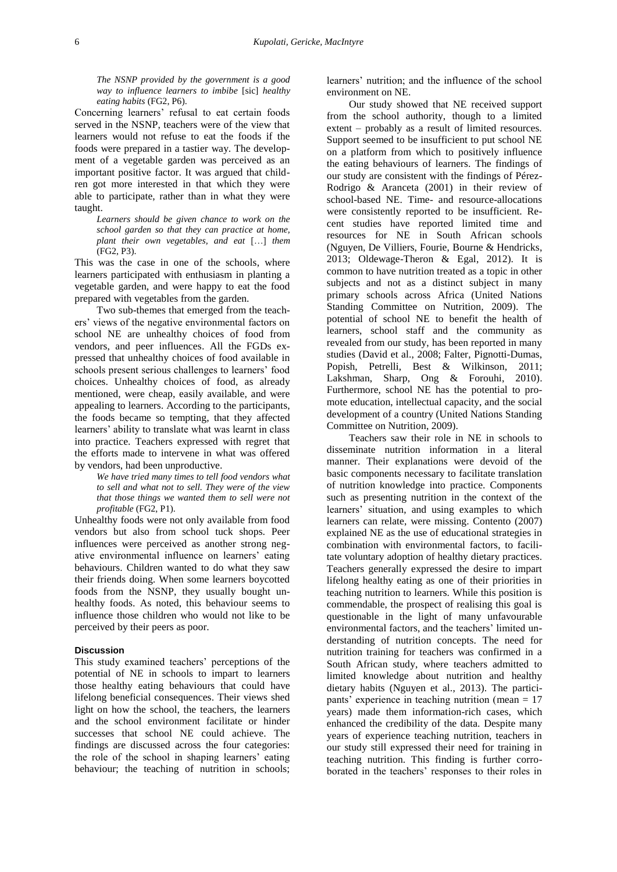*The NSNP provided by the government is a good way to influence learners to imbibe* [sic] *healthy eating habits* (FG2, P6).

Concerning learners' refusal to eat certain foods served in the NSNP, teachers were of the view that learners would not refuse to eat the foods if the foods were prepared in a tastier way. The development of a vegetable garden was perceived as an important positive factor. It was argued that children got more interested in that which they were able to participate, rather than in what they were taught.

*Learners should be given chance to work on the school garden so that they can practice at home, plant their own vegetables, and eat* […] *them* (FG2, P3).

This was the case in one of the schools, where learners participated with enthusiasm in planting a vegetable garden, and were happy to eat the food prepared with vegetables from the garden.

Two sub-themes that emerged from the teachers" views of the negative environmental factors on school NE are unhealthy choices of food from vendors, and peer influences. All the FGDs expressed that unhealthy choices of food available in schools present serious challenges to learners' food choices. Unhealthy choices of food, as already mentioned, were cheap, easily available, and were appealing to learners. According to the participants, the foods became so tempting, that they affected learners' ability to translate what was learnt in class into practice. Teachers expressed with regret that the efforts made to intervene in what was offered by vendors, had been unproductive.

*We have tried many times to tell food vendors what to sell and what not to sell. They were of the view that those things we wanted them to sell were not profitable* (FG2, P1).

Unhealthy foods were not only available from food vendors but also from school tuck shops. Peer influences were perceived as another strong negative environmental influence on learners" eating behaviours. Children wanted to do what they saw their friends doing. When some learners boycotted foods from the NSNP, they usually bought unhealthy foods. As noted, this behaviour seems to influence those children who would not like to be perceived by their peers as poor.

## **Discussion**

This study examined teachers' perceptions of the potential of NE in schools to impart to learners those healthy eating behaviours that could have lifelong beneficial consequences. Their views shed light on how the school, the teachers, the learners and the school environment facilitate or hinder successes that school NE could achieve. The findings are discussed across the four categories: the role of the school in shaping learners" eating behaviour; the teaching of nutrition in schools;

learners' nutrition; and the influence of the school environment on NE.

Our study showed that NE received support from the school authority, though to a limited extent – probably as a result of limited resources. Support seemed to be insufficient to put school NE on a platform from which to positively influence the eating behaviours of learners. The findings of our study are consistent with the findings of Pérez-Rodrigo & Aranceta (2001) in their review of school-based NE. Time- and resource-allocations were consistently reported to be insufficient. Recent studies have reported limited time and resources for NE in South African schools (Nguyen, De Villiers, Fourie, Bourne & Hendricks, 2013; Oldewage-Theron & Egal, 2012). It is common to have nutrition treated as a topic in other subjects and not as a distinct subject in many primary schools across Africa (United Nations Standing Committee on Nutrition, 2009). The potential of school NE to benefit the health of learners, school staff and the community as revealed from our study, has been reported in many studies (David et al., 2008; Falter, Pignotti-Dumas, Popish, Petrelli, Best & Wilkinson, 2011; Lakshman, Sharp, Ong & Forouhi, 2010). Furthermore, school NE has the potential to promote education, intellectual capacity, and the social development of a country (United Nations Standing Committee on Nutrition, 2009).

Teachers saw their role in NE in schools to disseminate nutrition information in a literal manner. Their explanations were devoid of the basic components necessary to facilitate translation of nutrition knowledge into practice. Components such as presenting nutrition in the context of the learners' situation, and using examples to which learners can relate, were missing. Contento (2007) explained NE as the use of educational strategies in combination with environmental factors, to facilitate voluntary adoption of healthy dietary practices. Teachers generally expressed the desire to impart lifelong healthy eating as one of their priorities in teaching nutrition to learners. While this position is commendable, the prospect of realising this goal is questionable in the light of many unfavourable environmental factors, and the teachers' limited understanding of nutrition concepts. The need for nutrition training for teachers was confirmed in a South African study, where teachers admitted to limited knowledge about nutrition and healthy dietary habits (Nguyen et al., 2013). The participants' experience in teaching nutrition (mean  $= 17$ ) years) made them information-rich cases, which enhanced the credibility of the data. Despite many years of experience teaching nutrition, teachers in our study still expressed their need for training in teaching nutrition. This finding is further corroborated in the teachers' responses to their roles in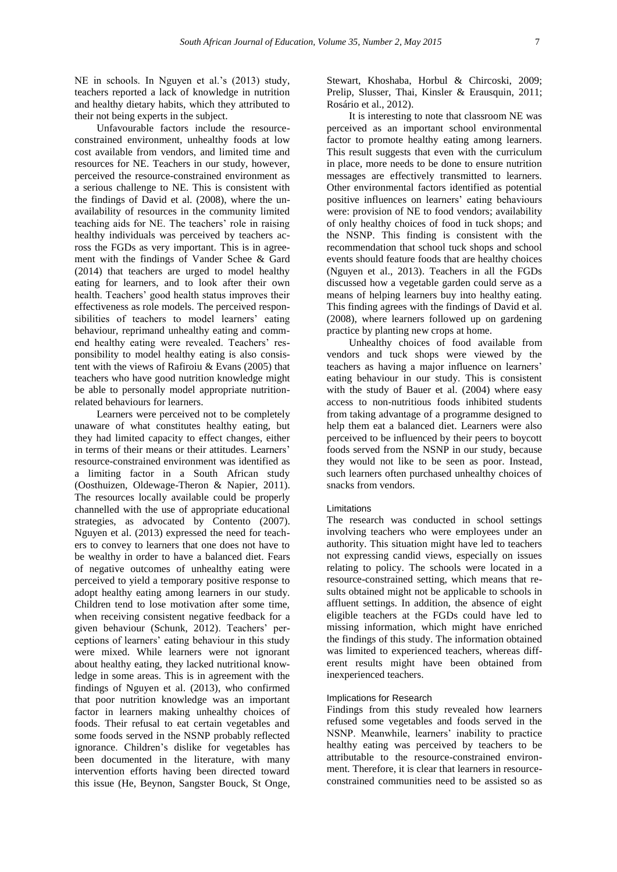NE in schools. In Nguyen et al.'s (2013) study, teachers reported a lack of knowledge in nutrition and healthy dietary habits, which they attributed to their not being experts in the subject.

Unfavourable factors include the resourceconstrained environment, unhealthy foods at low cost available from vendors, and limited time and resources for NE. Teachers in our study, however, perceived the resource-constrained environment as a serious challenge to NE. This is consistent with the findings of David et al. (2008), where the unavailability of resources in the community limited teaching aids for NE. The teachers' role in raising healthy individuals was perceived by teachers across the FGDs as very important. This is in agreement with the findings of Vander Schee & Gard (2014) that teachers are urged to model healthy eating for learners, and to look after their own health. Teachers' good health status improves their effectiveness as role models. The perceived responsibilities of teachers to model learners' eating behaviour, reprimand unhealthy eating and commend healthy eating were revealed. Teachers' responsibility to model healthy eating is also consistent with the views of Rafiroiu & Evans (2005) that teachers who have good nutrition knowledge might be able to personally model appropriate nutritionrelated behaviours for learners.

Learners were perceived not to be completely unaware of what constitutes healthy eating, but they had limited capacity to effect changes, either in terms of their means or their attitudes. Learners' resource-constrained environment was identified as a limiting factor in a South African study (Oosthuizen, Oldewage-Theron & Napier, 2011). The resources locally available could be properly channelled with the use of appropriate educational strategies, as advocated by Contento (2007). Nguyen et al. (2013) expressed the need for teachers to convey to learners that one does not have to be wealthy in order to have a balanced diet. Fears of negative outcomes of unhealthy eating were perceived to yield a temporary positive response to adopt healthy eating among learners in our study. Children tend to lose motivation after some time, when receiving consistent negative feedback for a given behaviour (Schunk, 2012). Teachers' perceptions of learners" eating behaviour in this study were mixed. While learners were not ignorant about healthy eating, they lacked nutritional knowledge in some areas. This is in agreement with the findings of Nguyen et al. (2013), who confirmed that poor nutrition knowledge was an important factor in learners making unhealthy choices of foods. Their refusal to eat certain vegetables and some foods served in the NSNP probably reflected ignorance. Children"s dislike for vegetables has been documented in the literature, with many intervention efforts having been directed toward this issue (He, Beynon, Sangster Bouck, St Onge,

Stewart, Khoshaba, Horbul & Chircoski, 2009; Prelip, Slusser, Thai, Kinsler & Erausquin, 2011; Rosário et al., 2012).

It is interesting to note that classroom NE was perceived as an important school environmental factor to promote healthy eating among learners. This result suggests that even with the curriculum in place, more needs to be done to ensure nutrition messages are effectively transmitted to learners. Other environmental factors identified as potential positive influences on learners' eating behaviours were: provision of NE to food vendors; availability of only healthy choices of food in tuck shops; and the NSNP. This finding is consistent with the recommendation that school tuck shops and school events should feature foods that are healthy choices (Nguyen et al., 2013). Teachers in all the FGDs discussed how a vegetable garden could serve as a means of helping learners buy into healthy eating. This finding agrees with the findings of David et al. (2008), where learners followed up on gardening practice by planting new crops at home.

Unhealthy choices of food available from vendors and tuck shops were viewed by the teachers as having a major influence on learners" eating behaviour in our study. This is consistent with the study of Bauer et al. (2004) where easy access to non-nutritious foods inhibited students from taking advantage of a programme designed to help them eat a balanced diet. Learners were also perceived to be influenced by their peers to boycott foods served from the NSNP in our study, because they would not like to be seen as poor. Instead, such learners often purchased unhealthy choices of snacks from vendors.

#### Limitations

The research was conducted in school settings involving teachers who were employees under an authority. This situation might have led to teachers not expressing candid views, especially on issues relating to policy. The schools were located in a resource-constrained setting, which means that results obtained might not be applicable to schools in affluent settings. In addition, the absence of eight eligible teachers at the FGDs could have led to missing information, which might have enriched the findings of this study. The information obtained was limited to experienced teachers, whereas different results might have been obtained from inexperienced teachers.

# Implications for Research

Findings from this study revealed how learners refused some vegetables and foods served in the NSNP. Meanwhile, learners' inability to practice healthy eating was perceived by teachers to be attributable to the resource-constrained environment. Therefore, it is clear that learners in resourceconstrained communities need to be assisted so as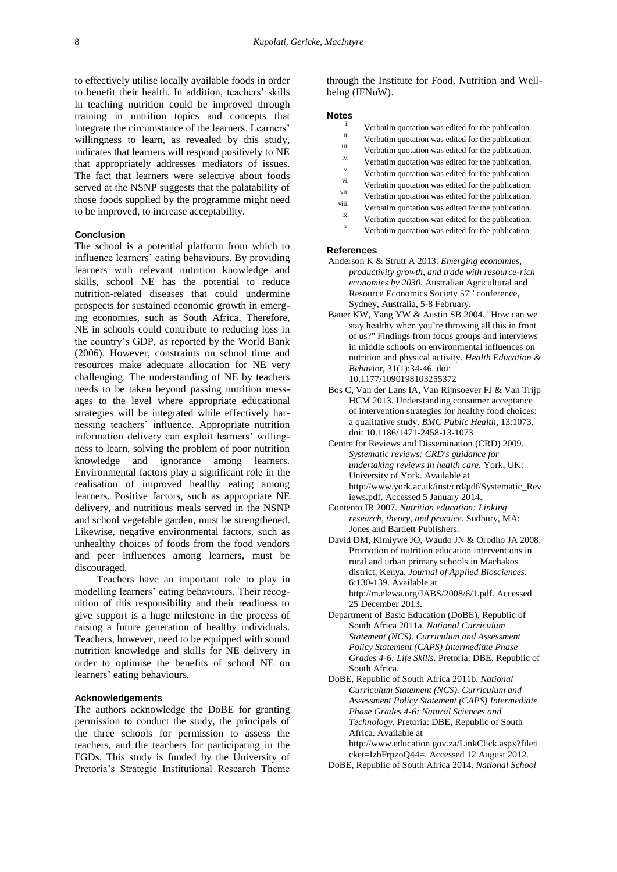to effectively utilise locally available foods in order to benefit their health. In addition, teachers" skills in teaching nutrition could be improved through training in nutrition topics and concepts that integrate the circumstance of the learners. Learners' willingness to learn, as revealed by this study, indicates that learners will respond positively to NE that appropriately addresses mediators of issues. The fact that learners were selective about foods served at the NSNP suggests that the palatability of those foods supplied by the programme might need to be improved, to increase acceptability.

#### **Conclusion**

The school is a potential platform from which to influence learners' eating behaviours. By providing learners with relevant nutrition knowledge and skills, school NE has the potential to reduce nutrition-related diseases that could undermine prospects for sustained economic growth in emerging economies, such as South Africa. Therefore, NE in schools could contribute to reducing loss in the country"s GDP, as reported by the World Bank (2006). However, constraints on school time and resources make adequate allocation for NE very challenging. The understanding of NE by teachers needs to be taken beyond passing nutrition messages to the level where appropriate educational strategies will be integrated while effectively harnessing teachers" influence. Appropriate nutrition information delivery can exploit learners' willingness to learn, solving the problem of poor nutrition knowledge and ignorance among learners. Environmental factors play a significant role in the realisation of improved healthy eating among learners. Positive factors, such as appropriate NE delivery, and nutritious meals served in the NSNP and school vegetable garden, must be strengthened. Likewise, negative environmental factors, such as unhealthy choices of foods from the food vendors and peer influences among learners, must be discouraged.

Teachers have an important role to play in modelling learners' eating behaviours. Their recognition of this responsibility and their readiness to give support is a huge milestone in the process of raising a future generation of healthy individuals. Teachers, however, need to be equipped with sound nutrition knowledge and skills for NE delivery in order to optimise the benefits of school NE on learners' eating behaviours.

## **Acknowledgements**

The authors acknowledge the DoBE for granting permission to conduct the study, the principals of the three schools for permission to assess the teachers, and the teachers for participating in the FGDs. This study is funded by the University of Pretoria"s Strategic Institutional Research Theme

through the Institute for Food, Nutrition and Wellbeing (IFNuW).

#### **Notes**

- <sup>1</sup>. Verbatim quotation was edited for the publication.
- $\frac{11}{111}$  Verbatim quotation was edited for the publication.
- $\frac{1}{11}$ . Verbatim quotation was edited for the publication.
- $\frac{1}{v}$ . Verbatim quotation was edited for the publication.
- <sup>v.</sup> Verbatim quotation was edited for the publication.
- <sup>VI</sup>. Verbatim quotation was edited for the publication.
- $v<sub>II</sub>$ . Verbatim quotation was edited for the publication.
- $v_{\text{in}}$  Verbatim quotation was edited for the publication.
- Verbatim quotation was edited for the publication. x. Verbatim quotation was edited for the publication.

#### **References**

- Anderson K & Strutt A 2013. *Emerging economies, productivity growth, and trade with resource-rich economies by 2030.* Australian Agricultural and Resource Economics Society 57<sup>th</sup> conference, Sydney, Australia, 5-8 February.
- Bauer KW, Yang YW & Austin SB 2004. "How can we stay healthy when you"re throwing all this in front of us?" Findings from focus groups and interviews in middle schools on environmental influences on nutrition and physical activity. *Health Education & Behav*ior*,* 31(1):34-46. doi: 10.1177/1090198103255372
- Bos C, Van der Lans IA, Van Rijnsoever FJ & Van Trijp HCM 2013. Understanding consumer acceptance of intervention strategies for healthy food choices: a qualitative study. *BMC Public Health,* 13:1073. [doi: 10.1186/1471-2458-13-1073](http://www.biomedcentral.com/1471-2458/13/1073)
- Centre for Reviews and Dissemination (CRD) 2009. *Systematic reviews: CRD's guidance for undertaking reviews in health care.* York, UK: University of York. Available at [http://www.york.ac.uk/inst/crd/pdf/Systematic\\_Rev](http://www.york.ac.uk/inst/crd/pdf/Systematic_Reviews.pdf) [iews.pdf.](http://www.york.ac.uk/inst/crd/pdf/Systematic_Reviews.pdf) Accessed 5 January 2014.
- Contento IR 2007. *Nutrition education: Linking research, theory, and practice.* Sudbury, MA: Jones and Bartlett Publishers.
- David DM, Kimiywe JO, Waudo JN & Orodho JA 2008. Promotion of nutrition education interventions in rural and urban primary schools in Machakos district, Kenya. *Journal of Applied Biosciences,* 6:130-139. Available at [http://m.elewa.org/JABS/2008/6/1.pdf.](http://m.elewa.org/JABS/2008/6/1.pdf) Accessed 25 December 2013.
- Department of Basic Education (DoBE), Republic of South Africa 2011a. *National Curriculum Statement (NCS). Curriculum and Assessment Policy Statement (CAPS) Intermediate Phase Grades 4-6: Life Skills.* Pretoria: DBE, Republic of South Africa.
- DoBE, Republic of South Africa 2011b. *National Curriculum Statement (NCS). Curriculum and Assessment Policy Statement (CAPS) Intermediate Phase Grades 4-6: Natural Sciences and Technology.* Pretoria: DBE, Republic of South Africa. Available at [http://www.education.gov.za/LinkClick.aspx?fileti](http://www.education.gov.za/LinkClick.aspx?fileticket=IzbFrpzoQ44=)

<span id="page-7-0"></span>[cket=IzbFrpzoQ44=.](http://www.education.gov.za/LinkClick.aspx?fileticket=IzbFrpzoQ44=) Accessed 12 August 2012. DoBE, Republic of South Africa 2014. *National School*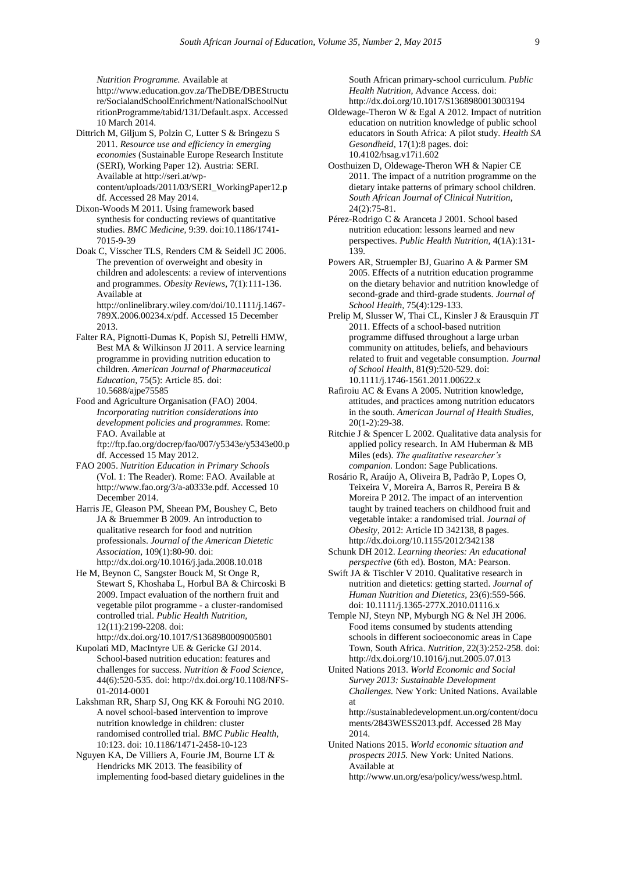*Nutrition Programme.* Available at [http://www.education.gov.za/TheDBE/DBEStructu](http://www.education.gov.za/TheDBE/DBEStructure/SocialandSchoolEnrichment/NationalSchoolNutritionProgramme/tabid/131/Default.aspx) [re/SocialandSchoolEnrichment/NationalSchoolNut](http://www.education.gov.za/TheDBE/DBEStructure/SocialandSchoolEnrichment/NationalSchoolNutritionProgramme/tabid/131/Default.aspx) [ritionProgramme/tabid/131/Default.aspx. Accessed](http://www.education.gov.za/TheDBE/DBEStructure/SocialandSchoolEnrichment/NationalSchoolNutritionProgramme/tabid/131/Default.aspx)  [10 March 2](http://www.education.gov.za/Programmes/NationalSchoolNutrition.%20Accessed%2010%20March)014.

Dittrich M, Giljum S, Polzin C, Lutter S & Bringezu S 2011. *Resource use and efficiency in emerging economies* (Sustainable Europe Research Institute (SERI), Working Paper 12). Austria: SERI. Available a[t http://seri.at/wp](http://seri.at/wp-content/uploads/2011/03/SERI_WorkingPaper12.pdf)[content/uploads/2011/03/SERI\\_WorkingPaper12.p](http://seri.at/wp-content/uploads/2011/03/SERI_WorkingPaper12.pdf) [df.](http://seri.at/wp-content/uploads/2011/03/SERI_WorkingPaper12.pdf) Accessed 28 May 2014.

Dixon-Woods M 2011. Using framework based synthesis for conducting reviews of quantitative studies. *BMC Medicine,* 9:39. [doi:10.1186/1741-](http://www.biomedcentral.com/1741-7015/9/39) [7015-9-39](http://www.biomedcentral.com/1741-7015/9/39)

Doak C, Visscher TLS, Renders CM & Seidell JC 2006. The prevention of overweight and obesity in children and adolescents: a review of interventions and programmes. *Obesity Reviews,* 7(1):111-136. Available at [http://onlinelibrary.wiley.com/doi/10.1111/j.1467-](http://onlinelibrary.wiley.com/doi/10.1111/j.1467-789X.2006.00234.x/pdf)

[789X.2006.00234.x/pdf.](http://onlinelibrary.wiley.com/doi/10.1111/j.1467-789X.2006.00234.x/pdf) Accessed 15 December 2013.

Falter RA, Pignotti-Dumas K, Popish SJ, Petrelli HMW, Best MA & Wilkinson JJ 2011. A service learning programme in providing nutrition education to children. *American Journal of Pharmaceutical Education,* 75(5): Article 85. [doi:](http://www.ajpe.org/doi/abs/10.5688/ajpe75585)  [10.5688/ajpe75585](http://www.ajpe.org/doi/abs/10.5688/ajpe75585)

Food and Agriculture Organisation (FAO) 2004. *Incorporating nutrition considerations into development policies and programmes.* Rome: FAO. Available at [ftp://ftp.fao.org/docrep/fao/007/y5343e/y5343e00.p](ftp://ftp.fao.org/docrep/fao/007/y5343e/y5343e00.pdf) [df.](ftp://ftp.fao.org/docrep/fao/007/y5343e/y5343e00.pdf) Accessed 15 May 2012.

- FAO 2005. *Nutrition Education in Primary Schools* (Vol. 1: The Reader). Rome: FAO. Available at [http://www.fao.org/3/a-a0333e.pdf. Accessed 10](http://www.fao.org/3/a-a0333e.pdf.%20Accessed%2010%20December%202014)  [December 2014.](http://www.fao.org/3/a-a0333e.pdf.%20Accessed%2010%20December%202014)
- Harris JE, Gleason PM, Sheean PM, Boushey C, Beto JA & Bruemmer B 2009. An introduction to qualitative research for food and nutrition professionals. *Journal of the American Dietetic Association,* 109(1):80-90. doi: <http://dx.doi.org/10.1016/j.jada.2008.10.018>

He M, Beynon C, Sangster Bouck M, St Onge R, Stewart S, Khoshaba L, Horbul BA & Chircoski B 2009. Impact evaluation of the northern fruit and vegetable pilot programme - a cluster-randomised controlled trial. *Public Health Nutrition,*  12(11):2199-2208. doi[:](http://dx.doi.org/10.1017/S1368980009005801)

<http://dx.doi.org/10.1017/S1368980009005801> Kupolati MD, MacIntyre UE & Gericke GJ 2014. School-based nutrition education: features and challenges for success. *Nutrition & Food Science,*  44(6):520-535. doi: [http://dx.doi.org/10.1108/NFS-](http://dx.doi.org/10.1108/NFS-01-2014-0001)[01-2014-0001](http://dx.doi.org/10.1108/NFS-01-2014-0001)

Lakshman RR, Sharp SJ, Ong KK & Forouhi NG 2010. A novel school-based intervention to improve nutrition knowledge in children: cluster randomised controlled trial. *BMC Public Health,*  10:123. doi: [10.1186/1471-2458-10-123](http://www.biomedcentral.com/1471-2458/10/123)

Nguyen KA, De Villiers A, Fourie JM, Bourne LT & Hendricks MK 2013. The feasibility of implementing food-based dietary guidelines in the

South African primary-school curriculum. *Public Health Nutrition,* Advance Access. doi: http://dx.doi.org/10.1017/S1368980013003194

- Oldewage-Theron W & Egal A 2012. Impact of nutrition education on nutrition knowledge of public school educators in South Africa: A pilot study. *Health SA Gesondheid,* 17(1):8 pages. [doi:](http://www.hsag.co.za/index.php/HSAG/article/view/602)  [10.4102/hsag.v17i1.602](http://www.hsag.co.za/index.php/HSAG/article/view/602)
- Oosthuizen D, Oldewage-Theron WH & Napier CE 2011. The impact of a nutrition programme on the dietary intake patterns of primary school children. *South African Journal of Clinical Nutrition,*  24(2):75-81.
- Pérez-Rodrigo C & Aranceta J 2001. School based nutrition education: lessons learned and new perspectives. *Public Health Nutrition,* 4(1A):131- 139.
- Powers AR, Struempler BJ, Guarino A & Parmer SM 2005. Effects of a nutrition education programme on the dietary behavior and nutrition knowledge of second-grade and third-grade students. *Journal of School Health,* 75(4):129-133.
- Prelip M, Slusser W, Thai CL, Kinsler J & Erausquin JT 2011. Effects of a school-based nutrition programme diffused throughout a large urban community on attitudes, beliefs, and behaviours related to fruit and vegetable consumption. *Journal of School Health,* 81(9):520-529. [doi:](http://onlinelibrary.wiley.com/doi/10.1111/j.1746-1561.2011.00622.x/abstract;jsessionid=F194E24FE0681657599BB283548F2A0F.f02t01)  [10.1111/j.1746-1561.2011.00622.x](http://onlinelibrary.wiley.com/doi/10.1111/j.1746-1561.2011.00622.x/abstract;jsessionid=F194E24FE0681657599BB283548F2A0F.f02t01)
- Rafiroiu AC & Evans A 2005. Nutrition knowledge, attitudes, and practices among nutrition educators in the south. *American Journal of Health Studies,*  20(1-2):29-38.
- Ritchie J & Spencer L 2002. Qualitative data analysis for applied policy research. In AM Huberman & MB Miles (eds). *The qualitative researcher's companion.* London: Sage Publications.
- Rosário R, Araújo A, Oliveira B, Padrão P, Lopes O, Teixeira V, Moreira A, Barros R, Pereira B & Moreira P 2012. The impact of an intervention taught by trained teachers on childhood fruit and vegetable intake: a randomised trial. *Journal of Obesity,* 2012: Article ID 342138, 8 pages. http://dx.doi.org/10.1155/2012/342138
- Schunk DH 2012. *Learning theories: An educational perspective* (6th ed). Boston, MA: Pearson.
- Swift JA & Tischler V 2010. Qualitative research in nutrition and dietetics: getting started. *Journal of Human Nutrition and Dietetics,* 23(6):559-566. [doi: 10.1111/j.1365-277X.2010.01116.x](http://onlinelibrary.wiley.com/doi/10.1111/j.1365-277X.2010.01116.x/abstract)

Temple NJ, Steyn NP, Myburgh NG & Nel JH 2006. Food items consumed by students attending schools in different socioeconomic areas in Cape Town, South Africa. *Nutrition,* 22(3):252-258. doi: http://dx.doi.org/10.1016/j.nut.2005.07.013

United Nations 2013. *World Economic and Social Survey 2013: Sustainable Development Challenges.* New York: United Nations. Available at

[http://sustainabledevelopment.un.org/content/docu](http://sustainabledevelopment.un.org/content/documents/2843WESS2013.pdf.%20Accessed%2028%20May%202014) [ments/2843WESS2013.pdf. Accessed 28 May](http://sustainabledevelopment.un.org/content/documents/2843WESS2013.pdf.%20Accessed%2028%20May%202014)  [2014.](http://sustainabledevelopment.un.org/content/documents/2843WESS2013.pdf.%20Accessed%2028%20May%202014)

United Nations 2015. *World economic situation and prospects 2015.* New York: United Nations. Available at

http://www.un.org/esa/policy/wess/wesp.html.